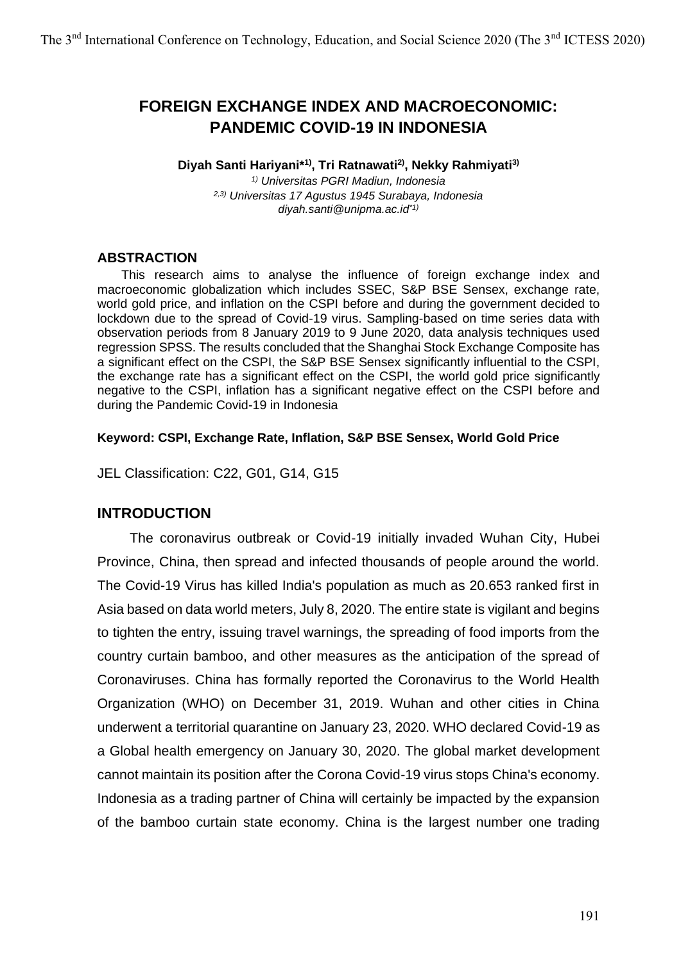# **FOREIGN EXCHANGE INDEX AND MACROECONOMIC: PANDEMIC COVID-19 IN INDONESIA**

#### **Diyah Santi Hariyani\*1), Tri Ratnawati2), Nekky Rahmiyati3)**

*1) Universitas PGRI Madiun, Indonesia 2,3) Universitas 17 Agustus 1945 Surabaya, Indonesia diyah.santi@unipma.ac.id\*1)*

#### **ABSTRACTION**

This research aims to analyse the influence of foreign exchange index and macroeconomic globalization which includes SSEC, S&P BSE Sensex, exchange rate, world gold price, and inflation on the CSPI before and during the government decided to lockdown due to the spread of Covid-19 virus. Sampling-based on time series data with observation periods from 8 January 2019 to 9 June 2020, data analysis techniques used regression SPSS. The results concluded that the Shanghai Stock Exchange Composite has a significant effect on the CSPI, the S&P BSE Sensex significantly influential to the CSPI, the exchange rate has a significant effect on the CSPI, the world gold price significantly negative to the CSPI, inflation has a significant negative effect on the CSPI before and during the Pandemic Covid-19 in Indonesia

#### **Keyword: CSPI, Exchange Rate, Inflation, S&P BSE Sensex, World Gold Price**

JEL Classification: C22, G01, G14, G15

## **INTRODUCTION**

The coronavirus outbreak or Covid-19 initially invaded Wuhan City, Hubei Province, China, then spread and infected thousands of people around the world. The Covid-19 Virus has killed India's population as much as 20.653 ranked first in Asia based on data world meters, July 8, 2020. The entire state is vigilant and begins to tighten the entry, issuing travel warnings, the spreading of food imports from the country curtain bamboo, and other measures as the anticipation of the spread of Coronaviruses. China has formally reported the Coronavirus to the World Health Organization (WHO) on December 31, 2019. Wuhan and other cities in China underwent a territorial quarantine on January 23, 2020. WHO declared Covid-19 as a Global health emergency on January 30, 2020. The global market development cannot maintain its position after the Corona Covid-19 virus stops China's economy. Indonesia as a trading partner of China will certainly be impacted by the expansion of the bamboo curtain state economy. China is the largest number one trading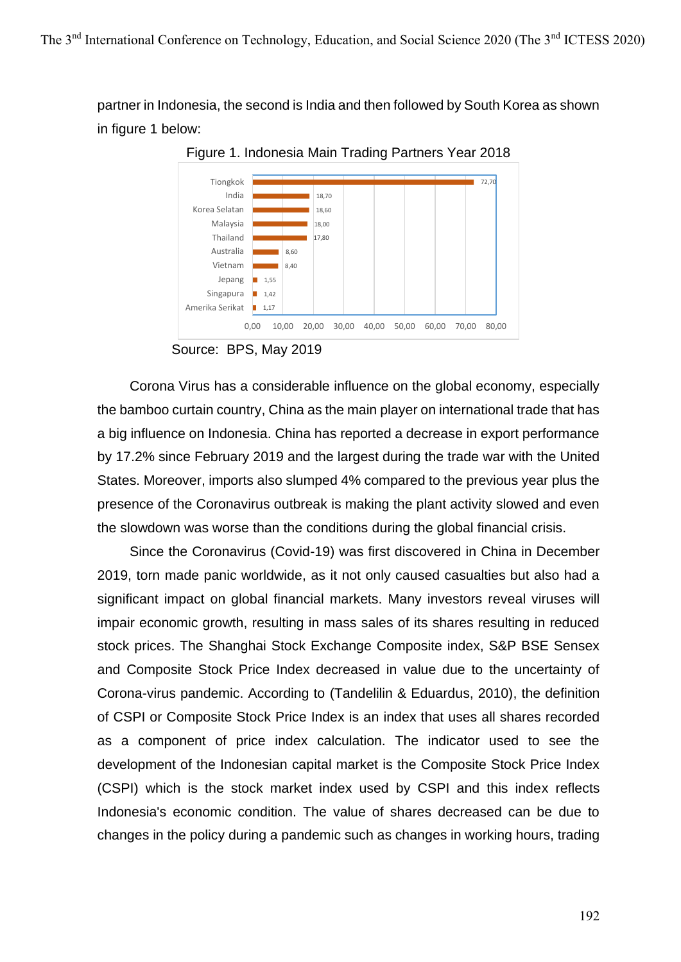partner in Indonesia, the second is India and then followed by South Korea as shown in figure 1 below:



Figure 1. Indonesia Main Trading Partners Year 2018

Corona Virus has a considerable influence on the global economy, especially the bamboo curtain country, China as the main player on international trade that has a big influence on Indonesia. China has reported a decrease in export performance by 17.2% since February 2019 and the largest during the trade war with the United States. Moreover, imports also slumped 4% compared to the previous year plus the presence of the Coronavirus outbreak is making the plant activity slowed and even the slowdown was worse than the conditions during the global financial crisis.

Since the Coronavirus (Covid-19) was first discovered in China in December 2019, torn made panic worldwide, as it not only caused casualties but also had a significant impact on global financial markets. Many investors reveal viruses will impair economic growth, resulting in mass sales of its shares resulting in reduced stock prices. The Shanghai Stock Exchange Composite index, S&P BSE Sensex and Composite Stock Price Index decreased in value due to the uncertainty of Corona-virus pandemic. According to (Tandelilin & Eduardus, 2010), the definition of CSPI or Composite Stock Price Index is an index that uses all shares recorded as a component of price index calculation. The indicator used to see the development of the Indonesian capital market is the Composite Stock Price Index (CSPI) which is the stock market index used by CSPI and this index reflects Indonesia's economic condition. The value of shares decreased can be due to changes in the policy during a pandemic such as changes in working hours, trading

Source: BPS, May 2019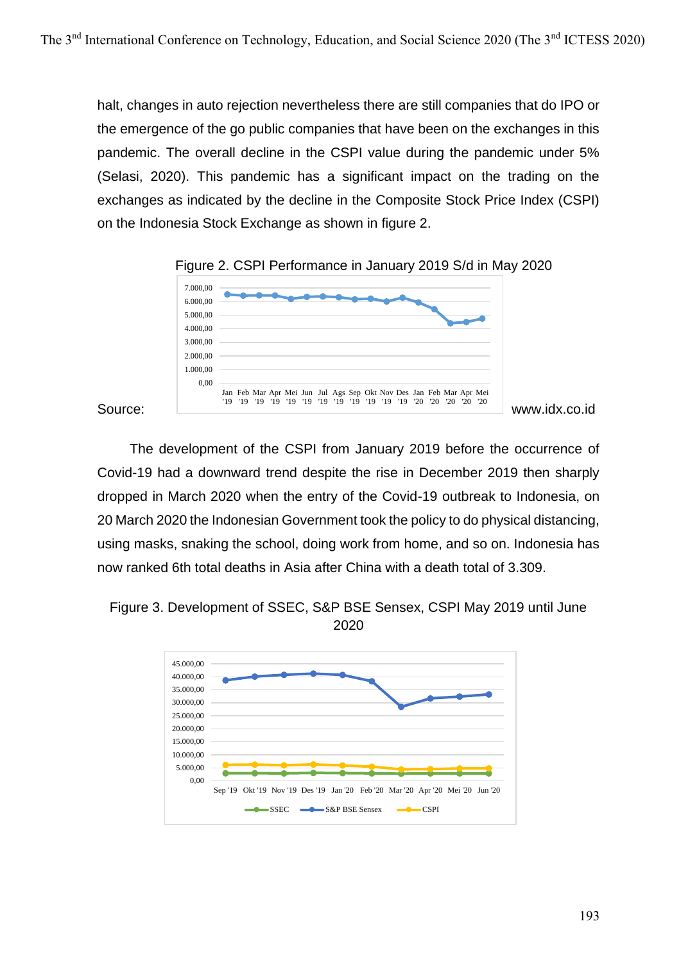halt, changes in auto rejection nevertheless there are still companies that do IPO or the emergence of the go public companies that have been on the exchanges in this pandemic. The overall decline in the CSPI value during the pandemic under 5% (Selasi, 2020). This pandemic has a significant impact on the trading on the exchanges as indicated by the decline in the Composite Stock Price Index (CSPI) on the Indonesia Stock Exchange as shown in figure 2.





The development of the CSPI from January 2019 before the occurrence of Covid-19 had a downward trend despite the rise in December 2019 then sharply dropped in March 2020 when the entry of the Covid-19 outbreak to Indonesia, on 20 March 2020 the Indonesian Government took the policy to do physical distancing, using masks, snaking the school, doing work from home, and so on. Indonesia has now ranked 6th total deaths in Asia after China with a death total of 3.309.



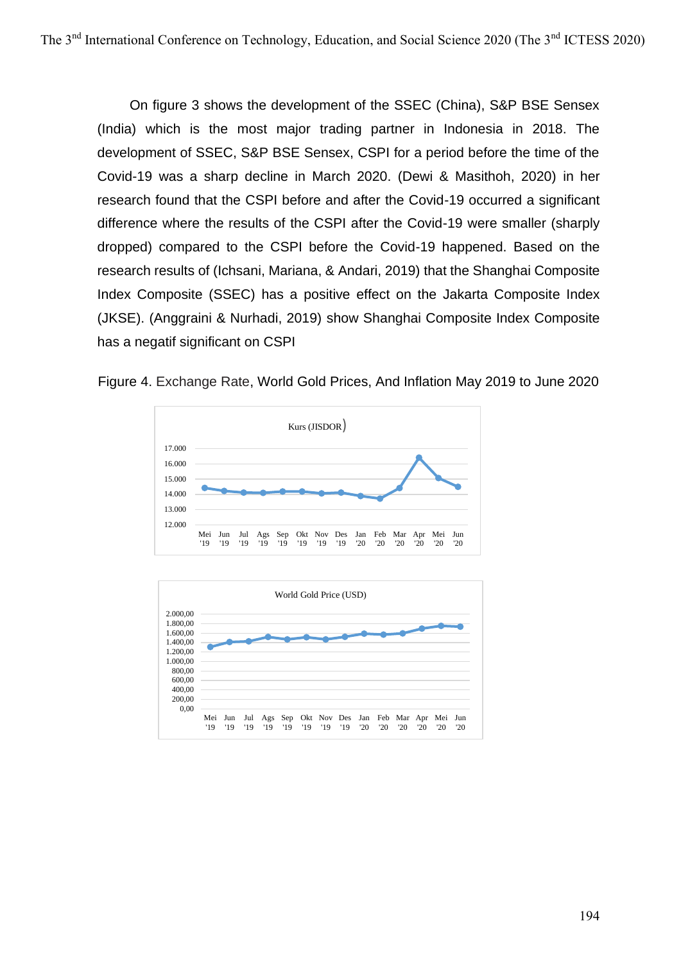On figure 3 shows the development of the SSEC (China), S&P BSE Sensex (India) which is the most major trading partner in Indonesia in 2018. The development of SSEC, S&P BSE Sensex, CSPI for a period before the time of the Covid-19 was a sharp decline in March 2020. (Dewi & Masithoh, 2020) in her research found that the CSPI before and after the Covid-19 occurred a significant difference where the results of the CSPI after the Covid-19 were smaller (sharply dropped) compared to the CSPI before the Covid-19 happened. Based on the research results of (Ichsani, Mariana, & Andari, 2019) that the Shanghai Composite Index Composite (SSEC) has a positive effect on the Jakarta Composite Index (JKSE). (Anggraini & Nurhadi, 2019) show Shanghai Composite Index Composite has a negatif significant on CSPI





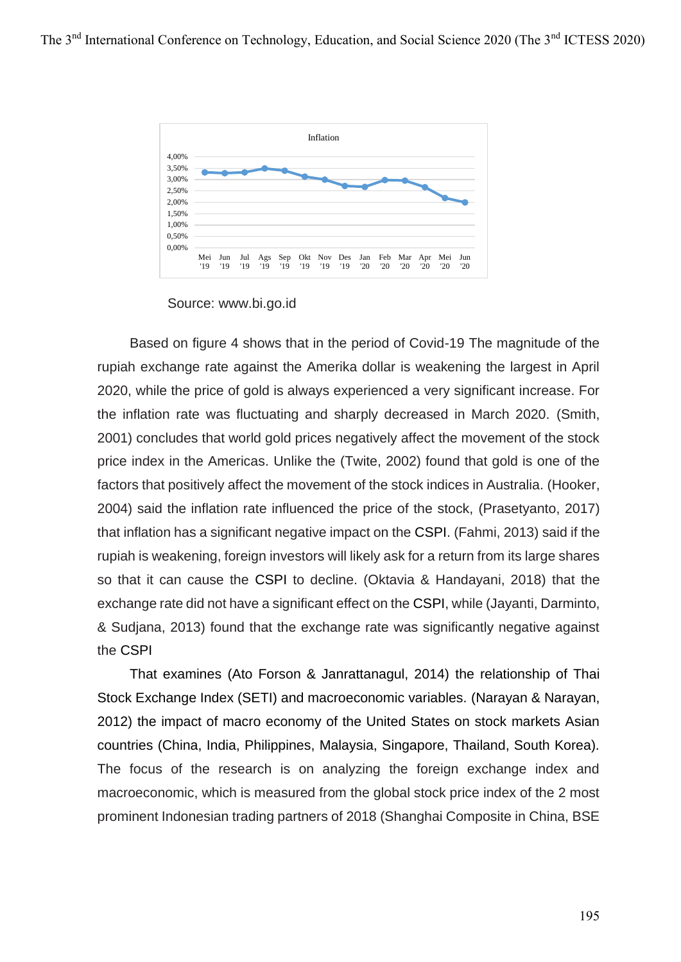

Source: www.bi.go.id

Based on figure 4 shows that in the period of Covid-19 The magnitude of the rupiah exchange rate against the Amerika dollar is weakening the largest in April 2020, while the price of gold is always experienced a very significant increase. For the inflation rate was fluctuating and sharply decreased in March 2020. (Smith, 2001) concludes that world gold prices negatively affect the movement of the stock price index in the Americas. Unlike the (Twite, 2002) found that gold is one of the factors that positively affect the movement of the stock indices in Australia. (Hooker, 2004) said the inflation rate influenced the price of the stock, (Prasetyanto, 2017) that inflation has a significant negative impact on the CSPI. (Fahmi, 2013) said if the rupiah is weakening, foreign investors will likely ask for a return from its large shares so that it can cause the CSPI to decline. (Oktavia & Handayani, 2018) that the exchange rate did not have a significant effect on the CSPI, while (Jayanti, Darminto, & Sudjana, 2013) found that the exchange rate was significantly negative against the CSPI

That examines (Ato Forson & Janrattanagul, 2014) the relationship of Thai Stock Exchange Index (SETI) and macroeconomic variables. (Narayan & Narayan, 2012) the impact of macro economy of the United States on stock markets Asian countries (China, India, Philippines, Malaysia, Singapore, Thailand, South Korea). The focus of the research is on analyzing the foreign exchange index and macroeconomic, which is measured from the global stock price index of the 2 most prominent Indonesian trading partners of 2018 (Shanghai Composite in China, BSE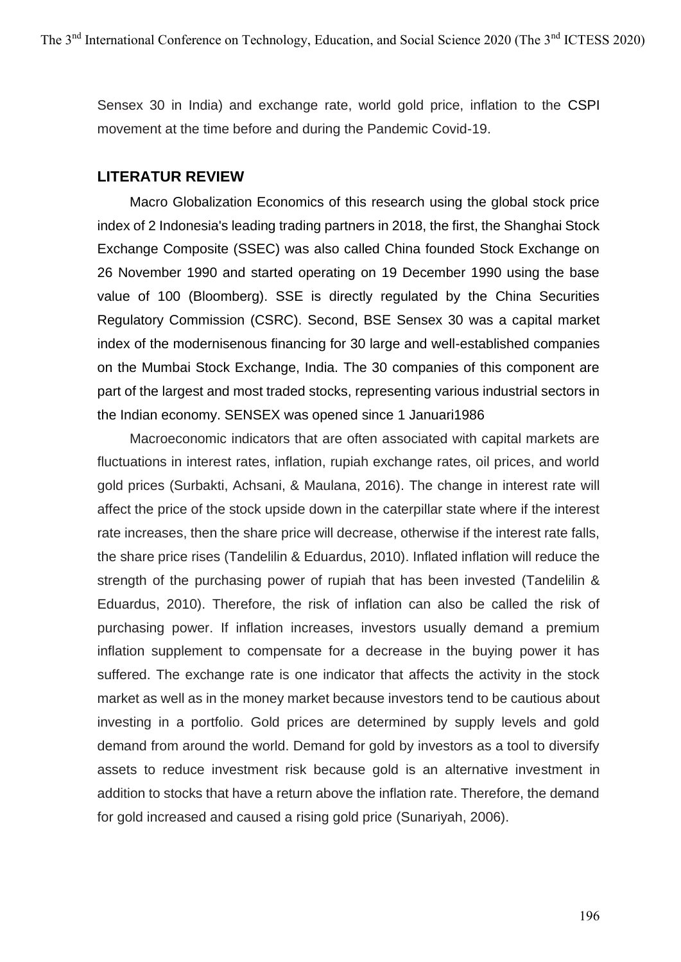Sensex 30 in India) and exchange rate, world gold price, inflation to the CSPI movement at the time before and during the Pandemic Covid-19.

### **LITERATUR REVIEW**

Macro Globalization Economics of this research using the global stock price index of 2 Indonesia's leading trading partners in 2018, the first, the Shanghai Stock Exchange Composite (SSEC) was also called China founded Stock Exchange on 26 November 1990 and started operating on 19 December 1990 using the base value of 100 (Bloomberg). SSE is directly regulated by the China Securities Regulatory Commission (CSRC). Second, BSE Sensex 30 was a capital market index of the modernisenous financing for 30 large and well-established companies on the Mumbai Stock Exchange, India. The 30 companies of this component are part of the largest and most traded stocks, representing various industrial sectors in the Indian economy. SENSEX was opened since 1 Januari1986

Macroeconomic indicators that are often associated with capital markets are fluctuations in interest rates, inflation, rupiah exchange rates, oil prices, and world gold prices (Surbakti, Achsani, & Maulana, 2016). The change in interest rate will affect the price of the stock upside down in the caterpillar state where if the interest rate increases, then the share price will decrease, otherwise if the interest rate falls, the share price rises (Tandelilin & Eduardus, 2010). Inflated inflation will reduce the strength of the purchasing power of rupiah that has been invested (Tandelilin & Eduardus, 2010). Therefore, the risk of inflation can also be called the risk of purchasing power. If inflation increases, investors usually demand a premium inflation supplement to compensate for a decrease in the buying power it has suffered. The exchange rate is one indicator that affects the activity in the stock market as well as in the money market because investors tend to be cautious about investing in a portfolio. Gold prices are determined by supply levels and gold demand from around the world. Demand for gold by investors as a tool to diversify assets to reduce investment risk because gold is an alternative investment in addition to stocks that have a return above the inflation rate. Therefore, the demand for gold increased and caused a rising gold price (Sunariyah, 2006).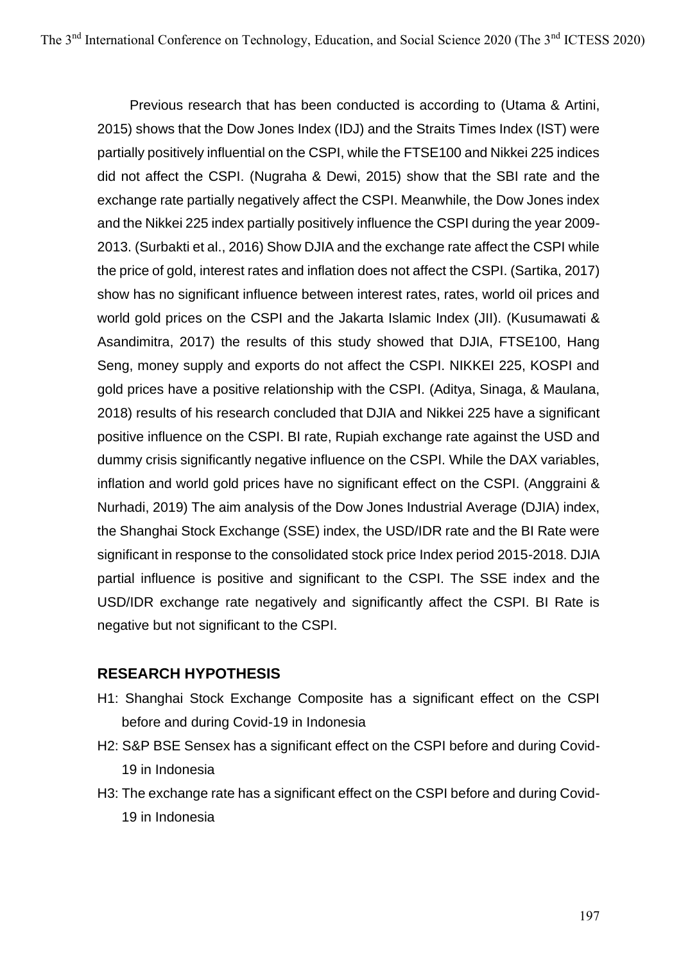Previous research that has been conducted is according to (Utama & Artini, 2015) shows that the Dow Jones Index (IDJ) and the Straits Times Index (IST) were partially positively influential on the CSPI, while the FTSE100 and Nikkei 225 indices did not affect the CSPI. (Nugraha & Dewi, 2015) show that the SBI rate and the exchange rate partially negatively affect the CSPI. Meanwhile, the Dow Jones index and the Nikkei 225 index partially positively influence the CSPI during the year 2009- 2013. (Surbakti et al., 2016) Show DJIA and the exchange rate affect the CSPI while the price of gold, interest rates and inflation does not affect the CSPI. (Sartika, 2017) show has no significant influence between interest rates, rates, world oil prices and world gold prices on the CSPI and the Jakarta Islamic Index (JII). (Kusumawati & Asandimitra, 2017) the results of this study showed that DJIA, FTSE100, Hang Seng, money supply and exports do not affect the CSPI. NIKKEI 225, KOSPI and gold prices have a positive relationship with the CSPI. (Aditya, Sinaga, & Maulana, 2018) results of his research concluded that DJIA and Nikkei 225 have a significant positive influence on the CSPI. BI rate, Rupiah exchange rate against the USD and dummy crisis significantly negative influence on the CSPI. While the DAX variables, inflation and world gold prices have no significant effect on the CSPI. (Anggraini & Nurhadi, 2019) The aim analysis of the Dow Jones Industrial Average (DJIA) index, the Shanghai Stock Exchange (SSE) index, the USD/IDR rate and the BI Rate were significant in response to the consolidated stock price Index period 2015-2018. DJIA partial influence is positive and significant to the CSPI. The SSE index and the USD/IDR exchange rate negatively and significantly affect the CSPI. BI Rate is negative but not significant to the CSPI.

## **RESEARCH HYPOTHESIS**

- H1: Shanghai Stock Exchange Composite has a significant effect on the CSPI before and during Covid-19 in Indonesia
- H2: S&P BSE Sensex has a significant effect on the CSPI before and during Covid-19 in Indonesia
- H3: The exchange rate has a significant effect on the CSPI before and during Covid-19 in Indonesia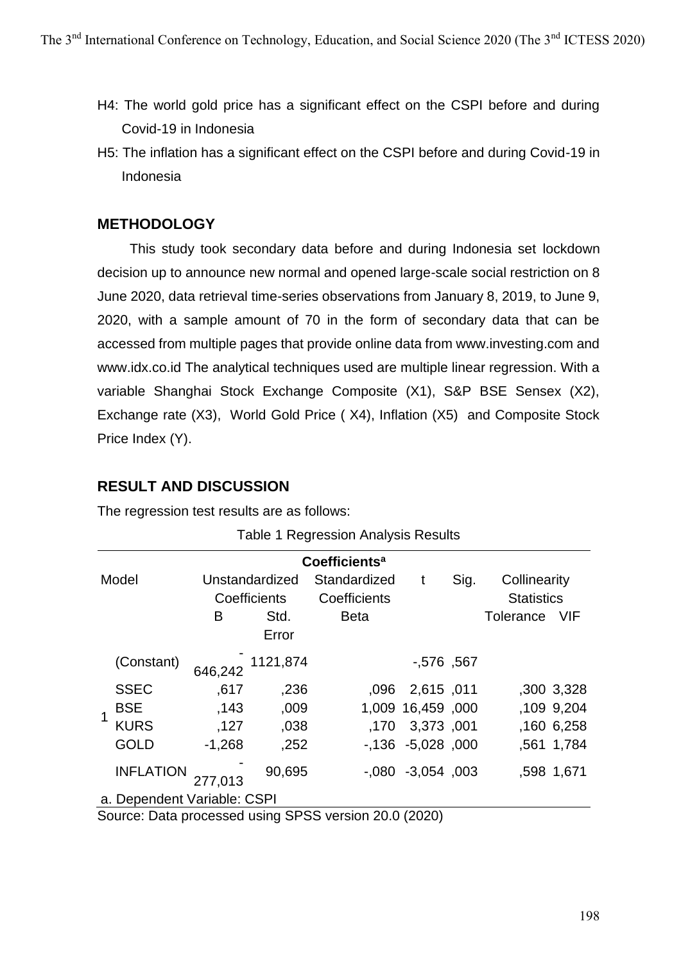- H4: The world gold price has a significant effect on the CSPI before and during Covid-19 in Indonesia
- H5: The inflation has a significant effect on the CSPI before and during Covid-19 in Indonesia

## **METHODOLOGY**

This study took secondary data before and during Indonesia set lockdown decision up to announce new normal and opened large-scale social restriction on 8 June 2020, data retrieval time-series observations from January 8, 2019, to June 9, 2020, with a sample amount of 70 in the form of secondary data that can be accessed from multiple pages that provide online data from www.investing.com and www.idx.co.id The analytical techniques used are multiple linear regression. With a variable Shanghai Stock Exchange Composite (X1), S&P BSE Sensex (X2), Exchange rate (X3), World Gold Price ( X4), Inflation (X5) and Composite Stock Price Index (Y).

## **RESULT AND DISCUSSION**

The regression test results are as follows:

|                           | <b>Table 1 Regression Analysis Results</b>            |          |                                                 |                                             |                       |      |                                                       |       |  |
|---------------------------|-------------------------------------------------------|----------|-------------------------------------------------|---------------------------------------------|-----------------------|------|-------------------------------------------------------|-------|--|
| Coefficients <sup>a</sup> |                                                       |          |                                                 |                                             |                       |      |                                                       |       |  |
|                           | Model                                                 | B        | Unstandardized<br>Coefficients<br>Std.<br>Error | Standardized<br>Coefficients<br><b>Beta</b> | t                     | Sig. | Collinearity<br><b>Statistics</b><br><b>Tolerance</b> | - VIF |  |
|                           | (Constant)                                            | 646,242  | 1121,874                                        |                                             | $-576, 567$           |      |                                                       |       |  |
|                           | <b>SSEC</b>                                           | ,617     | ,236                                            |                                             | ,096 2,615 ,011       |      | ,300 3,328                                            |       |  |
|                           | <b>BSE</b>                                            | ,143     | ,009                                            |                                             | 1,009 16,459 ,000     |      | ,109 9,204                                            |       |  |
|                           | <b>KURS</b>                                           | ,127     | ,038                                            |                                             | ,170 3,373 ,001       |      | ,160 6,258                                            |       |  |
|                           | <b>GOLD</b>                                           | $-1,268$ | ,252                                            |                                             | $-136 - 5028$ , 000   |      | ,561 1,784                                            |       |  |
|                           | <b>INFLATION</b>                                      | 277,013  | 90,695                                          |                                             | $-0.080 -3.054$ , 003 |      | ,598 1,671                                            |       |  |
|                           | a. Dependent Variable: CSPI                           |          |                                                 |                                             |                       |      |                                                       |       |  |
|                           | Source: Data processed using SDSS version 20.0 (2020) |          |                                                 |                                             |                       |      |                                                       |       |  |

Source: Data processed using SPSS version 20.0 (2020)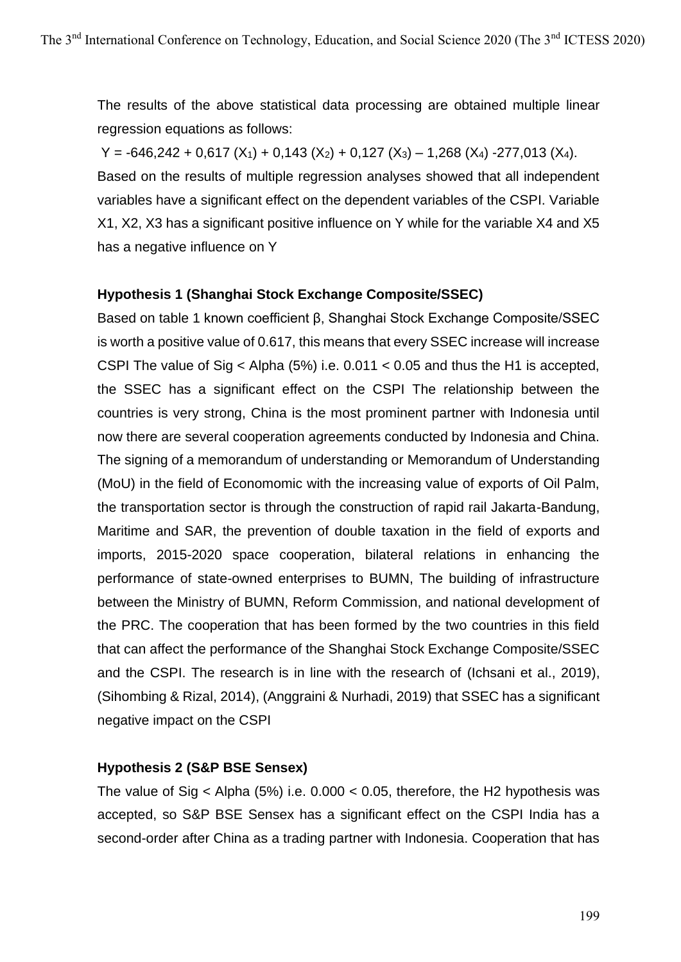The results of the above statistical data processing are obtained multiple linear regression equations as follows:

 $Y = -646,242 + 0,617 (X_1) + 0,143 (X_2) + 0,127 (X_3) - 1,268 (X_4) - 277,013 (X_4).$ Based on the results of multiple regression analyses showed that all independent variables have a significant effect on the dependent variables of the CSPI. Variable X1, X2, X3 has a significant positive influence on Y while for the variable X4 and X5 has a negative influence on Y

## **Hypothesis 1 (Shanghai Stock Exchange Composite/SSEC)**

Based on table 1 known coefficient β, Shanghai Stock Exchange Composite/SSEC is worth a positive value of 0.617, this means that every SSEC increase will increase CSPI The value of Sig < Alpha (5%) i.e. 0.011 < 0.05 and thus the H1 is accepted, the SSEC has a significant effect on the CSPI The relationship between the countries is very strong, China is the most prominent partner with Indonesia until now there are several cooperation agreements conducted by Indonesia and China. The signing of a memorandum of understanding or Memorandum of Understanding (MoU) in the field of Economomic with the increasing value of exports of Oil Palm, the transportation sector is through the construction of rapid rail Jakarta-Bandung, Maritime and SAR, the prevention of double taxation in the field of exports and imports, 2015-2020 space cooperation, bilateral relations in enhancing the performance of state-owned enterprises to BUMN, The building of infrastructure between the Ministry of BUMN, Reform Commission, and national development of the PRC. The cooperation that has been formed by the two countries in this field that can affect the performance of the Shanghai Stock Exchange Composite/SSEC and the CSPI. The research is in line with the research of (Ichsani et al., 2019), (Sihombing & Rizal, 2014), (Anggraini & Nurhadi, 2019) that SSEC has a significant negative impact on the CSPI

#### **Hypothesis 2 (S&P BSE Sensex)**

The value of Sig < Alpha (5%) i.e.  $0.000 < 0.05$ , therefore, the H2 hypothesis was accepted, so S&P BSE Sensex has a significant effect on the CSPI India has a second-order after China as a trading partner with Indonesia. Cooperation that has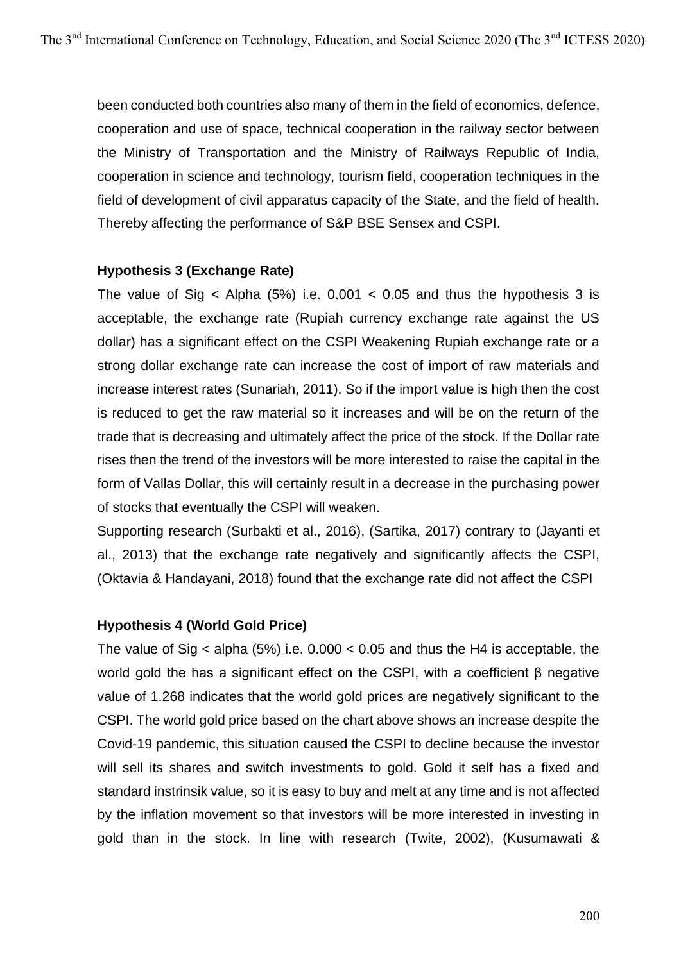been conducted both countries also many of them in the field of economics, defence, cooperation and use of space, technical cooperation in the railway sector between the Ministry of Transportation and the Ministry of Railways Republic of India, cooperation in science and technology, tourism field, cooperation techniques in the field of development of civil apparatus capacity of the State, and the field of health. Thereby affecting the performance of S&P BSE Sensex and CSPI.

### **Hypothesis 3 (Exchange Rate)**

The value of Sig  $\lt$  Alpha (5%) i.e. 0.001  $\lt$  0.05 and thus the hypothesis 3 is acceptable, the exchange rate (Rupiah currency exchange rate against the US dollar) has a significant effect on the CSPI Weakening Rupiah exchange rate or a strong dollar exchange rate can increase the cost of import of raw materials and increase interest rates (Sunariah, 2011). So if the import value is high then the cost is reduced to get the raw material so it increases and will be on the return of the trade that is decreasing and ultimately affect the price of the stock. If the Dollar rate rises then the trend of the investors will be more interested to raise the capital in the form of Vallas Dollar, this will certainly result in a decrease in the purchasing power of stocks that eventually the CSPI will weaken.

Supporting research (Surbakti et al., 2016), (Sartika, 2017) contrary to (Jayanti et al., 2013) that the exchange rate negatively and significantly affects the CSPI, (Oktavia & Handayani, 2018) found that the exchange rate did not affect the CSPI

## **Hypothesis 4 (World Gold Price)**

The value of Sig  $\lt$  alpha (5%) i.e. 0.000  $\lt$  0.05 and thus the H4 is acceptable, the world gold the has a significant effect on the CSPI, with a coefficient β negative value of 1.268 indicates that the world gold prices are negatively significant to the CSPI. The world gold price based on the chart above shows an increase despite the Covid-19 pandemic, this situation caused the CSPI to decline because the investor will sell its shares and switch investments to gold. Gold it self has a fixed and standard instrinsik value, so it is easy to buy and melt at any time and is not affected by the inflation movement so that investors will be more interested in investing in gold than in the stock. In line with research (Twite, 2002), (Kusumawati &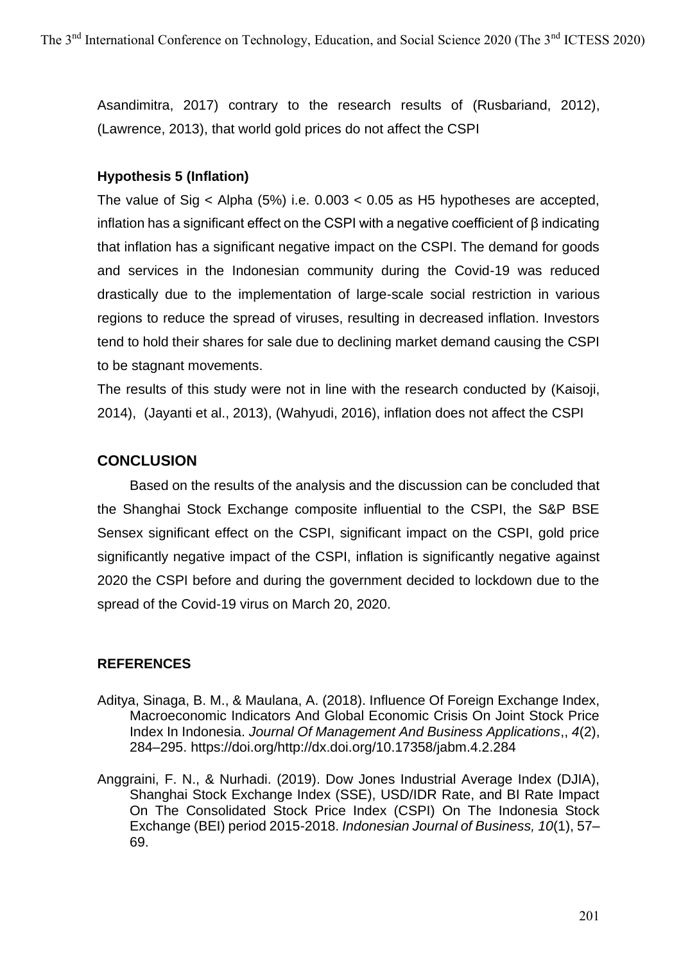Asandimitra, 2017) contrary to the research results of (Rusbariand, 2012), (Lawrence, 2013), that world gold prices do not affect the CSPI

### **Hypothesis 5 (Inflation)**

The value of Sig < Alpha (5%) i.e. 0.003 < 0.05 as H5 hypotheses are accepted, inflation has a significant effect on the CSPI with a negative coefficient of β indicating that inflation has a significant negative impact on the CSPI. The demand for goods and services in the Indonesian community during the Covid-19 was reduced drastically due to the implementation of large-scale social restriction in various regions to reduce the spread of viruses, resulting in decreased inflation. Investors tend to hold their shares for sale due to declining market demand causing the CSPI to be stagnant movements.

The results of this study were not in line with the research conducted by (Kaisoji, 2014), (Jayanti et al., 2013), (Wahyudi, 2016), inflation does not affect the CSPI

## **CONCLUSION**

Based on the results of the analysis and the discussion can be concluded that the Shanghai Stock Exchange composite influential to the CSPI, the S&P BSE Sensex significant effect on the CSPI, significant impact on the CSPI, gold price significantly negative impact of the CSPI, inflation is significantly negative against 2020 the CSPI before and during the government decided to lockdown due to the spread of the Covid-19 virus on March 20, 2020.

## **REFERENCES**

- Aditya, Sinaga, B. M., & Maulana, A. (2018). Influence Of Foreign Exchange Index, Macroeconomic Indicators And Global Economic Crisis On Joint Stock Price Index In Indonesia. *Journal Of Management And Business Applications*,, *4*(2), 284–295. https://doi.org/http://dx.doi.org/10.17358/jabm.4.2.284
- Anggraini, F. N., & Nurhadi. (2019). Dow Jones Industrial Average Index (DJIA), Shanghai Stock Exchange Index (SSE), USD/IDR Rate, and BI Rate Impact On The Consolidated Stock Price Index (CSPI) On The Indonesia Stock Exchange (BEI) period 2015-2018. *Indonesian Journal of Business, 10*(1), 57– 69.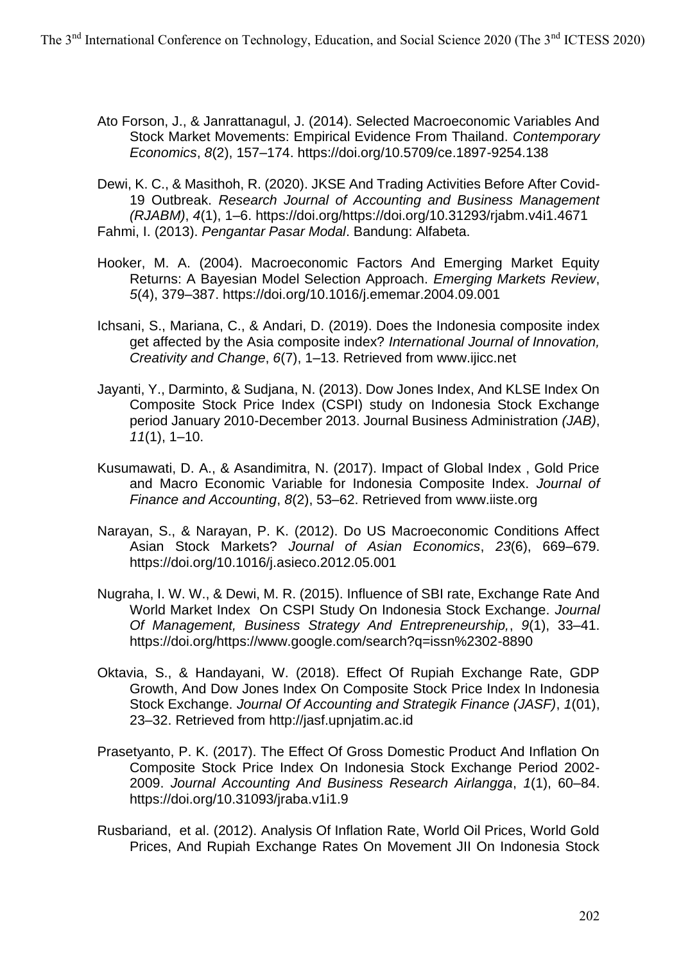- Ato Forson, J., & Janrattanagul, J. (2014). Selected Macroeconomic Variables And Stock Market Movements: Empirical Evidence From Thailand. *Contemporary Economics*, *8*(2), 157–174. https://doi.org/10.5709/ce.1897-9254.138
- Dewi, K. C., & Masithoh, R. (2020). JKSE And Trading Activities Before After Covid-19 Outbreak. *Research Journal of Accounting and Business Management (RJABM)*, *4*(1), 1–6. https://doi.org/https://doi.org/10.31293/rjabm.v4i1.4671 Fahmi, I. (2013). *Pengantar Pasar Modal*. Bandung: Alfabeta.
- Hooker, M. A. (2004). Macroeconomic Factors And Emerging Market Equity Returns: A Bayesian Model Selection Approach. *Emerging Markets Review*, *5*(4), 379–387. https://doi.org/10.1016/j.ememar.2004.09.001
- Ichsani, S., Mariana, C., & Andari, D. (2019). Does the Indonesia composite index get affected by the Asia composite index? *International Journal of Innovation, Creativity and Change*, *6*(7), 1–13. Retrieved from www.ijicc.net
- Jayanti, Y., Darminto, & Sudjana, N. (2013). Dow Jones Index, And KLSE Index On Composite Stock Price Index (CSPI) study on Indonesia Stock Exchange period January 2010-December 2013. Journal Business Administration *(JAB)*, *11*(1), 1–10.
- Kusumawati, D. A., & Asandimitra, N. (2017). Impact of Global Index , Gold Price and Macro Economic Variable for Indonesia Composite Index. *Journal of Finance and Accounting*, *8*(2), 53–62. Retrieved from www.iiste.org
- Narayan, S., & Narayan, P. K. (2012). Do US Macroeconomic Conditions Affect Asian Stock Markets? *Journal of Asian Economics*, *23*(6), 669–679. https://doi.org/10.1016/j.asieco.2012.05.001
- Nugraha, I. W. W., & Dewi, M. R. (2015). Influence of SBI rate, Exchange Rate And World Market Index On CSPI Study On Indonesia Stock Exchange. *Journal Of Management, Business Strategy And Entrepreneurship,*, *9*(1), 33–41. https://doi.org/https://www.google.com/search?q=issn%2302-8890
- Oktavia, S., & Handayani, W. (2018). Effect Of Rupiah Exchange Rate, GDP Growth, And Dow Jones Index On Composite Stock Price Index In Indonesia Stock Exchange. *Journal Of Accounting and Strategik Finance (JASF)*, *1*(01), 23–32. Retrieved from http://jasf.upnjatim.ac.id
- Prasetyanto, P. K. (2017). The Effect Of Gross Domestic Product And Inflation On Composite Stock Price Index On Indonesia Stock Exchange Period 2002- 2009. *Journal Accounting And Business Research Airlangga*, *1*(1), 60–84. https://doi.org/10.31093/jraba.v1i1.9
- Rusbariand, et al. (2012). Analysis Of Inflation Rate, World Oil Prices, World Gold Prices, And Rupiah Exchange Rates On Movement JII On Indonesia Stock